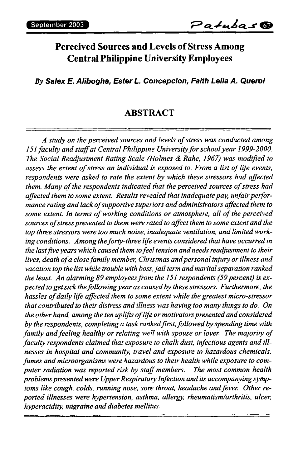# **Perceived Sources and Levels ofStress Among Central Philippine University Employees**

*By Salex E. Alibogha, Ester L. Concepcion, Faith Leila A. Querol*

#### **ABSTRACT**

*A study on the perceived sources and levels ofstress was conducted among 151 faculty andstaffat CentralPhilippine Universityforschoolyear 1999-2000. The Social Readjustment Rating Scale (Holmes & Rahe, 1967) was modified to assess the extent ofstress an individual is exposed to. From a list oflife events, respondents were asked to rate the extent by which these stressors had affected them. Many ofthe respondents indicated that the perceived sources ofstress had affected them to some extent. Results revealed that inadequatepay, unfairperformance rating and lackofsupportive superiors andadministrators affected them to some extent. In terms ofworking conditions or atmosphere, all ofthe perceived sources ofstresspresented to them were ratedto affect them to some extent and the top three stressors were too much noise, inadequate ventilation, and limitedworking conditions. Among theforty-three life events considered that have occurred in the lastfiveyears which caused them tofeeltension andneeds readjustment to their lives, death ofa closefamily member, Christmas andpersonal injury orillness and vacation top the listwhile trouble with boss,jailterm andmaritalseparation ranked the least. An alarming 89 employeesfrom the 151 respondents (59percent) is expected to getsick thefollowingyear as caused by these stressors. Furthermore, the hassles ofdaily life affected them to some extent while the greatest micro-stressor that contributed to their distress and illness was having too many things to do. On the other hand, among the ten uplifts oflife ormotivatorspresented andconsidered by the respondents, completing a task rankedfirst,followed by spending time with family andfeeling healthy or relating well with spouse or lover. The majority of faculty respondents claimed that exposure to chalk dust, infectious agents and illnesses in hospital and community, travel and exposure to hazardous chemicals, fumes and microorganisms were hazardous to their health while exposure to computer radiation was reported risk by staffmembers. The most common health problemspresentedwere UpperRespiratory Infection andits accompanyingsymptoms like cough, colds, running nose, sore throat, headache andfever. Other reported illnesses were hypertension, asthma, allergy, rheumatism/arthritis, ulcer, hyperacidity, migraine anddiabetes mellitus.*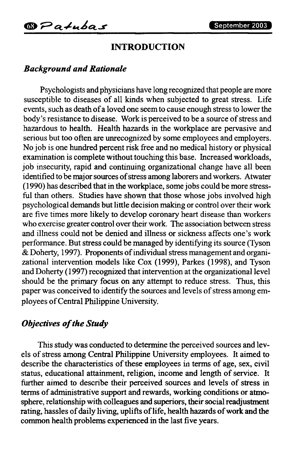## **INTRODUCTION**

#### *Background andRationale*

Psychologists and physicians have long recognized that people are more susceptible to diseases of all kinds when subjected to great stress. Life events, such as death of a loved one seem to cause enough stress to lower the body's resistance to disease. Work is perceived to be a source of stress and hazardous to health. Health hazards in the workplace are pervasive and serious but too often are unrecognized by some employees and employers. No job is one hundred percent risk free and no medical history or physical examination is complete without touching this base. Increased workloads, job insecurity, rapid and continuing organizational change have all been identified to be major sources of stress among laborers and workers. Atwater (1990) has described that in the workplace, some jobs could be more stressful than others. Studies have shown that those whose jobs involved high psychological demands but little decision making or control over their work are five times more likely to develop coronary heart disease than workers who exercise greater control over their work. The association between stress and illness could not be denied and illness or sickness affects one's work performance. But stress could be managed by identifying its source (Tyson & Doherty, 1997). Proponents of individual stress management and organizational intervention models like Cox (1999), Parkes (1998), and Tyson and Doherty (1997) recognized that intervention at the organizational level should be the primary focus on any attempt to reduce stress. Thus, this paper was conceived to identify the sources and levels of stress among employees of Central Philippine University.

#### *Objectives ofthe Study*

This study was conducted to determine the perceived sources and levels of stress among Central Philippine University employees. It aimed to describe the characteristics of these employees in terms of age, sex, civil status, educational attainment, religion, income and length of service. It further aimed to describe their perceived sources and levels of stress in terms of administrative support and rewards, working conditions or atmosphere, relationship with colleagues and superiors, their social readjustment rating, hassles of daily living, uplifts of life, health hazards of work and the common health problems experienced in the last five years.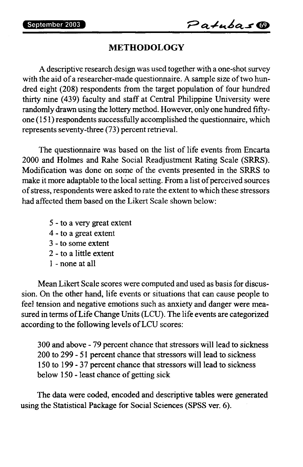### **METHODOLOGY**

A descriptive research design was used together with a one-shot survey with the aid of a researcher-made questionnaire. A sample size of two hundred eight (208) respondents from the target population of four hundred thirty nine (439) faculty and staff at Central Philippine University were randomly drawn using the lottery method. However, only one hundred fiftyone  $(151)$  respondents successfully accomplished the questionnaire, which represents seventy-three (73) percent retrieval.

The questionnaire was based on the list of life events from Encarta 2000 and Holmes and Rahe Social Readjustment Rating Scale (SRRS). Modification was done on some of the events presented in the SRRS to make it more adaptable to the local setting. From a list of perceived sources ofstress, respondents were asked to rate the extent to which these stressors had affected them based on the Likert Scale shown below:

- 5 to a very great extent
- 4 to a great extent
- 3 to some extent
- 2 to a little extent
- <sup>1</sup> none at all

Mean Likert Scale scores were computed and used as basis for discussion. On the other hand, life events or situations that can cause people to feel tension and negative emotions such as anxiety and danger were measured in terms of Life Change Units (LCU). The life events are categorized according to the following levels of LCU scores:

 and above - 79 percent chance that stressors will lead to sickness to 299 - 51 percent chance that stressors will lead to sickness to 199- 37 percent chance that stressors will lead to sickness below 150 - least chance of getting sick

The data were coded, encoded and descriptive tables were generated using the Statistical Package for Social Sciences (SPSS ver. 6).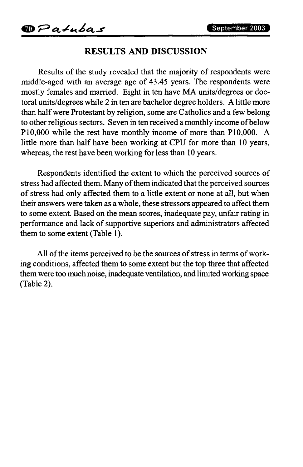### **RESULTS AND DISCUSSION**

Results of the study revealed that the majority of respondents were middle-aged with an average age of 43.45 years. The respondents were mostly females and married. Eight in ten have MA units/degrees or doctoral units/degrees while 2 in ten are bachelor degree holders. A little more than halfwere Protestant by religion, some are Catholics and a few belong to other religious sectors. Seven in ten received a monthly income of below P10,000 while the rest have monthly income of more than P10,000. A little more than half have been working at CPU for more than 10 years, whereas, the rest have been working for less than 10 years.

Respondents identified the extent to which the perceived sources of stress had affected them. Many of them indicated that the perceived sources of stress had only affected them to a little extent or none at all, but when their answers were taken as a whole, these stressors appeared to affect them to some extent. Based on the mean scores, inadequate pay, unfair rating in performance and lack of supportive superiors and administrators affected them to some extent (Table 1).

All of the items perceived to be the sources of stress in terms of working conditions, affected them to some extent but the top three that affected themwere too muchnoise, inadequate ventilation, and limited working space (Table 2).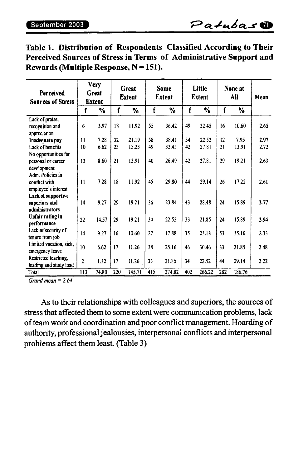| <b>Perceived</b><br><b>Sources of Stress</b> | <b>Very</b><br>Great<br><b>Extent</b> |       | Great<br><b>Extent</b> |        | Some<br><b>Extent</b> |        | Little<br>Extent |        | None at<br>All |        | Mean |
|----------------------------------------------|---------------------------------------|-------|------------------------|--------|-----------------------|--------|------------------|--------|----------------|--------|------|
|                                              | f                                     | %     | f                      | %      | f                     | %      | f                | %      | f              | %      |      |
| Lack of praise,                              |                                       |       |                        |        |                       |        |                  |        |                |        |      |
| recognition and                              | 6                                     | 3.97  | 18                     | 11.92  | 55                    | 36.42  | 49               | 32.45  | 16             | 10.60  | 2.65 |
| appreciation                                 |                                       |       |                        |        |                       |        |                  |        |                |        |      |
| Inadequate pay                               | 11                                    | 7.28  | 32                     | 21.19  | 58                    | 38.41  | 34               | 22.52  | 12             | 7.95   | 2.97 |
| Lack of benefits                             | 10                                    | 6.62  | 23                     | 15.23  | 49                    | 32.45  | 42               | 27.81  | 21             | 13.91  | 2.72 |
| No opportunities for                         |                                       |       |                        |        |                       |        |                  |        |                |        |      |
| personal or career                           | 13                                    | 8.60  | 21                     | 13.91  | 40                    | 26.49  | 42               | 27.81  | 29             | 19.21  | 2.63 |
| development                                  |                                       |       |                        |        |                       |        |                  |        |                |        |      |
| Adm. Policies in                             |                                       |       |                        |        |                       |        |                  |        |                |        |      |
| conflict with                                | 11                                    | 7.28  | 18                     | 11.92  | 45                    | 29.80  | 44               | 29.14  | 26             | 17.22  | 2.61 |
| employee's interest                          |                                       |       |                        |        |                       |        |                  |        |                |        |      |
| Lack of supportive                           |                                       |       |                        |        |                       |        |                  |        |                |        |      |
| superiors and                                | 14                                    | 9.27  | 29                     | 19.21  | 36                    | 23.84  | 43               | 28.48  | 24             | 15.89  | 2.77 |
| administrators                               |                                       |       |                        |        |                       |        |                  |        |                |        |      |
| Unfair rating in                             | 22                                    | 14.57 | 29                     | 19.21  | 34                    | 22.52  | 33               | 21.85  | 24             | 15.89  | 2.94 |
| performance                                  |                                       |       |                        |        |                       |        |                  |        |                |        |      |
| Lack of security of                          | 14                                    | 9.27  | 16                     | 10.60  | 27                    | 17.88  | 35               | 23.18  | 53             | 35.10  | 2.33 |
| tenure from job                              |                                       |       |                        |        |                       |        |                  |        |                |        |      |
| Limited vacation, sick,                      | 10                                    | 6.62  | 17                     | 11.26  | 38                    | 25.16  | 46               | 30.46  | 33             | 21.85  | 2.48 |
| emergency leave                              |                                       |       |                        |        |                       |        |                  |        |                |        |      |
| Restricted teaching,                         | $\overline{2}$                        | 1.32  | 17                     | 11.26  | 33                    | 21.85  | 34               | 22.52  | 44             | 29.14  | 2.22 |
| loading and study load                       |                                       |       |                        |        |                       |        |                  |        |                |        |      |
| Total                                        | 113                                   | 74.80 | 220                    | 145.71 | 415                   | 274.82 | 402              | 266.22 | 282            | 186.76 |      |

**Table 1. Distribution of Respondents Classified According to Their Perceived Sources of Stress in Terms of Administrative Support and Rewards (Multiple Response, N = 151).**

*Grand mean = 2.64*

As to their relationships with colleagues and superiors, the sources of stress that affected them to some extent were communication problems, lack of team work and coordination and poor conflict management. Hoarding of authority, professional jealousies, interpersonal conflicts and interpersonal problems affect them least. (Table 3)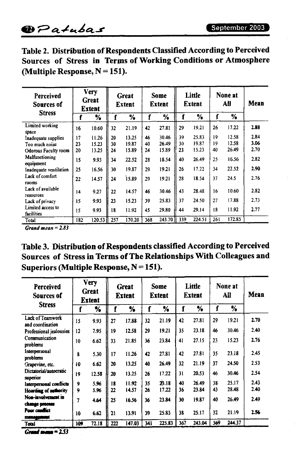|                                  |  | Table 2. Distribution of Respondents Classified According to Perceived |
|----------------------------------|--|------------------------------------------------------------------------|
|                                  |  | Sources of Stress in Terms of Working Conditions or Atmosphere         |
| (Multiple Response, $N = 151$ ). |  |                                                                        |

| Perceived<br>Sources of<br><b>Stress</b> | <b>Very</b><br>Great<br><b>Extent</b> |        | Great<br>Extent |        | Some<br><b>Extent</b> |        | Little<br>Extent |        | None at<br>All |        | Mean |
|------------------------------------------|---------------------------------------|--------|-----------------|--------|-----------------------|--------|------------------|--------|----------------|--------|------|
|                                          | f                                     | %      | f               | %      | f                     | %      |                  | %      |                | %      |      |
| Limited working<br>space                 | 16                                    | 10.60  | 32              | 21.19  | 42                    | 27.81  | 29               | 19.21  | 26             | 17.22  | 2.88 |
| Inadequate supplies                      | 17                                    | 11.26  | 20              | 13.25  | 46                    | 30.46  | 39               | 25.83  | 19             | 12.58  | 2.84 |
| Too much noise                           | 23                                    | 15.23  | 30              | 19.87  | 40                    | 26.49  | 30               | 19.87  | 19             | 12.58  | 3.06 |
| <b>Odorous Faculty room</b>              | 20                                    | 13.25  | 24              | 15.89  | 24                    | 15.89  | 23               | 15.23  | 40             | 26.49  | 2.70 |
| Malfunctioning<br>equipment              | 15                                    | 9.93   | 34              | 22.52  | 28                    | 18.54  | 40               | 26.49  | 25             | 16.56  | 2.82 |
| Inadequate ventilation                   | 25                                    | 16.56  | 30              | 19.87  | 29                    | 19.21  | 26               | 17.22  | 34             | 22.52  | 2.90 |
| Lack of comfort<br>rooms                 | 22                                    | 14.57  | 24              | 15.89  | 29                    | 19.21  | 28               | 18.54  | 37             | 24.5   | 2.76 |
| Lack of available<br>resources           | 14                                    | 9.27   | 22              | 14.57  | 46                    | 30.46  | 43               | 28.48  | 16             | 10.60  | 2.82 |
| Lack of privacy                          | 15                                    | 9.93   | 23              | 15.23  | 39                    | 25.83  | 37               | 24.50  | 27             | 17.88  | 2.73 |
| Limited access to<br>facilities          | 15                                    | 9.93   | 18              | 11.92  | 45                    | 29.80  | 44               | 29.14  | 18             | 11.92  | 2.77 |
| Total                                    | 182                                   | 120.53 | 257             | 170.20 | 368                   | 243.70 | 339              | 224.51 | 261            | 172.85 |      |

*Grand mean = 2.83*

**Table 3. Distribution ofRespondents classified According to Perceived Sources of Stress in Terms ofThe RelationshipsWith Colleagues and Superiors (Multiple Response, N = 151).**

| Perceived<br>Sources of<br><b>Stress</b> | <b>Very</b><br>Great<br><b>Extent</b> |       | Great<br><b>Extent</b> |        | Some<br><b>Extent</b> |        | Little<br><b>Extent</b> |        | None at<br>All |        | Mean |
|------------------------------------------|---------------------------------------|-------|------------------------|--------|-----------------------|--------|-------------------------|--------|----------------|--------|------|
|                                          | f                                     | ⅍     | f                      | ⅍      | f                     | ℅      | f                       | %      | f              | %      |      |
| Lack of Teamwork<br>and coordination     | 15                                    | 9.93  | 27                     | 17.88  | 32                    | 21.19  | 42                      | 27.81  | 29             | 19.21  | 2.70 |
| Professional jealousies                  | 12                                    | 7.95  | 19                     | 12.58  | 29                    | 19.21  | 35                      | 23.18  | 46             | 30.46  | 2.40 |
| Communication<br>problems                | 10                                    | 6.62  | 33                     | 21.85  | 36                    | 23.84  | 41                      | 27.15  | 23             | 15.23  | 2.76 |
| Interpersonal<br>problems                | 8                                     | 5.30  | 17                     | 11.26  | 42                    | 27.81  | 42                      | 27.81  | 35             | 23.18  | 2.45 |
| Grapevine, etc.                          | 10                                    | 6.62  | 20                     | 13.25  | 40                    | 26.49  | 32                      | 21.19  | 37             | 24.50  | 2.53 |
| Dictatorial/autocratic<br>superior       | 19                                    | 12.58 | 20                     | 13.25  | 26                    | 17.22  | 31                      | 20.53  | 46             | 30.46  | 2.54 |
| Interpersonal conflicts                  | 9                                     | 5.96  | 18                     | 11.92  | 35                    | 23.18  | 40                      | 26.49  | 38             | 25.17  | 2.43 |
| Hoarding of authority                    | 9                                     | 5.96  | 22                     | 14.57  | 26                    | 17.22  | 36                      | 23.84  | 43             | 28.48  | 2.40 |
| Non-involvement in<br>change process     | 7                                     | 4.64  | 25                     | 16.56  | 36                    | 23.84  | 30                      | 19.87  | 40             | 26.49  | 2.49 |
| Poor conflict<br>management              | 10                                    | 6.62  | 21                     | 13.91  | 39                    | 25.83  | 38                      | 25.17  | 32             | 21.19  | 2.56 |
| Total                                    | 109                                   | 72.18 | 222                    | 147.03 | 341                   | 225.83 | 367                     | 243.04 | 369            | 244.37 |      |

*Grand mean = 2.53*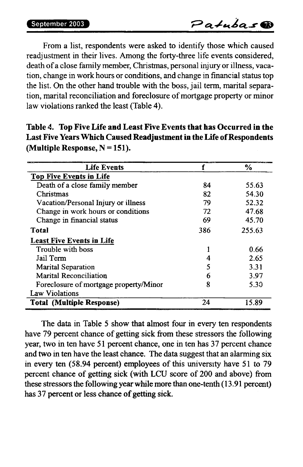From a list, respondents were asked to identify those which caused readjustment in their lives. Among the forty-three life events considered, death of a close family member, Christmas, personal injury or illness, vacation, change in work hours or conditions, and change in financial statustop the list. On the other hand trouble with the boss, jail term, marital separation, marital reconciliation and foreclosure of mortgage property or minor law violations ranked the least (Table 4).

| <b>Life Events</b>                     |     | $\frac{6}{10}$ |
|----------------------------------------|-----|----------------|
| <b>Top Five Events in Life</b>         |     |                |
| Death of a close family member         | 84  | 55.63          |
| Christmas                              | 82  | 54.30          |
| Vacation/Personal Injury or illness    | 79  | 52.32          |
| Change in work hours or conditions     | 72  | 47.68          |
| Change in financial status             | 69  | 45.70          |
| Total                                  | 386 | 255.63         |
| <b>Least Five Events in Life</b>       |     |                |
| Trouble with boss                      |     | 0.66           |
| Jail Term                              | 4   | 2.65           |
| Marital Separation                     | 5   | 3.31           |
| Marital Reconciliation                 | 6   | 3.97           |
| Foreclosure of mortgage property/Minor | 8   | 5.30           |
| Law Violations                         |     |                |
| <b>Total (Multiple Response)</b>       | 24  | 15.89          |

**Table 4. Top Five Life and Least Five Events that has Occurred in the Last Five YearsWhich Caused Readjustment in theLife ofRespondents (Multiple Response, N = 151).**

The data in Table 5 show that almost four in every ten respondents have 79 percent chance of getting sick from these stressors the following year, two in ten have 51 percent chance, one in ten has 37 percent chance and two in ten have the least chance. The data suggest that an alarming six in every ten (58.94 percent) employees of this university have 51 to 79 percent chance of getting sick (with LCU score of 200 and above) from these stressors the following yearwhilemore than one-tenth (13.91 percent) has 37 percent or less chance of getting sick.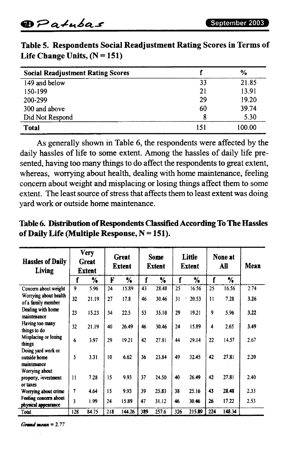| <b>Social Readjustment Rating Scores</b> |     | %      |
|------------------------------------------|-----|--------|
| 149 and below                            | 33  | 21.85  |
| 150-199                                  | 21  | 13.91  |
| 200-299                                  | 29  | 19.20  |
| 300 and above                            | 60  | 39.74  |
| Did Not Respond                          | 8   | 5.30   |
| <b>Total</b>                             | 151 | 100.00 |

**Table 5. Respondents Social Readjustment Rating Scores in Terms of Life Change Units, (N = 151)**

As generally shown in Table 6, the respondents were affected by the daily hassles of life to some extent. Among the hassles of daily life presented, having too many things to do affect the respondents to great extent, whereas, worrying about health, dealing with home maintenance, feeling concern about weight and misplacing or losing things affect them to some extent. The least source of stress that affects them to least extent was doing yard work or outside home maintenance.

**Table 6. Distribution ofRespondents ClassifiedAccording To TheHassles ofDailyLife (Multiple Response, N = 151).**

| <b>Hassles of Daily</b><br>Living                 | <b>Very</b><br>Great<br>Extent |       | <b>Great</b><br><b>Extent</b> |        | <b>Some</b><br>Extent |               | Little<br><b>Extent</b> |        |              | None at<br>All | Mean |
|---------------------------------------------------|--------------------------------|-------|-------------------------------|--------|-----------------------|---------------|-------------------------|--------|--------------|----------------|------|
|                                                   | f                              | %     | F                             | %      | f                     | $\frac{1}{6}$ | f                       | %      | f            | %              |      |
| Concern about weight                              | 9                              | 5.96  | 24                            | 15.89  | 43                    | 28.48         | 25                      | 16.56  | 25           | 16.56          | 2.74 |
| Worrving about health<br>of a family member       | 32                             | 21.19 | 27                            | 17.8   | 46                    | 30.46         | 31                      | 20.53  | $\mathbf{1}$ | 7.28           | 3.26 |
| Dealing with home<br>maintenance                  | 23                             | 15.23 | 34                            | 22.5   | 53                    | 35.10         | 29                      | 19.21  | 9            | 5.96           | 3.22 |
| Having too many<br>things to do                   | 32                             | 21.19 | 40                            | 26.49  | 46                    | 30.46         | 24                      | 15.89  | 4            | 2.65           | 3.49 |
| Misplacing or losing<br>things                    | 6                              | 3.97  | 29                            | 19.21  | 42                    | 27.81         | 44                      | 29.14  | 22           | 14.57          | 2.67 |
| Doing yard work or<br>outside home<br>maintenance | 5                              | 3.31  | 10                            | 6.62   | 36                    | 23.84         | 49                      | 32.45  | 42           | 27.81          | 2.20 |
| Worrying about<br>property, investment            | $\mathbf{11}$                  | 7.28  | 15                            | 9.93   | 37                    | 24.50         | 40                      | 26.49  | 42           | 27.81          | 2.40 |
| or taxes<br>Worrying about crime                  | 7                              | 4.64  | 15                            | 9.93   | 39                    | 25.83         | 38                      | 25.16  | 43           | 28.48          | 2.33 |
| Feeling concern about<br>physical appearance      | 3                              | 1.99  | 24                            | 15.89  | 47                    | 31.12         | 46                      | 30.46  | 26           | 17.22          | 2.53 |
| Total                                             | 128                            | 84.75 | 218                           | 144.26 | 389                   | 257.6         | 326                     | 215.89 | 224          | 148.34         |      |

*Grand mean = 2.77*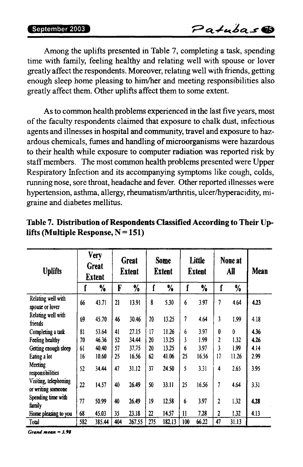Among the uplifts presented in Table 7, completing a task, spending time with family, feeling healthy and relating well with spouse or lover greatly affect the respondents. Moreover, relating well with friends, getting enough sleep home pleasing to him/her and meeting responsibilities also greatly affect them. Other uplifts affect them to some extent.

Asto common health problems experienced in the last five years, most of the faculty respondents claimed that exposure to chalk dust, infectious agents and illnesses in hospital and community, travel and exposure to hazardous chemicals, fumes and handling of microorganisms were hazardous to their health while exposure to computer radiation was reported risk by staff members. The most common health problems presented were Upper Respiratory Infection and its accompanying symptoms like cough, colds, running nose, sore throat, headache and fever. Other reported illnesses were hypertension, asthma, allergy, rheumatism/arthritis, ulcer/hyperacidity, migraine and diabetes mellitus.

| <b>Uplifts</b>                             | <b>Very</b><br>Great<br><b>Extent</b> |        | Great<br><b>Extent</b> |               | <b>Some</b><br><b>Extent</b> |        | Little<br><b>Extent</b> |               | None at<br>All |       | Mean |
|--------------------------------------------|---------------------------------------|--------|------------------------|---------------|------------------------------|--------|-------------------------|---------------|----------------|-------|------|
|                                            | f                                     | %      | F                      | $\frac{9}{6}$ | ſ                            | %      | f                       | $\frac{0}{6}$ | f              | %     |      |
| Relating well with<br>spouse or lover      | 66                                    | 43.71  | 21                     | 13.91         | 8                            | 5.30   | 6                       | 3.97          | 7              | 4.64  | 4.23 |
| Relating well with<br>friends              | 69                                    | 45.70  | 46                     | 30.46         | 20                           | 13.25  | 7                       | 4.64          | 3              | 1.99  | 4.18 |
| Completing a task                          | 81                                    | 53.64  | 41                     | 27.15         | 17                           | 11.26  | 6                       | 3.97          | 0              | 0     | 4.36 |
| Feeling healthy                            | 70                                    | 46.36  | 52                     | 34.44         | 20                           | 13.25  | 3                       | 1.99          | 2              | 1.32  | 4.26 |
| Getting enough sleep                       | 61                                    | 40.40  | 57                     | 37.75         | 20                           | 13.25  | 6                       | 3.97          | 3              | 1.99  | 4.14 |
| Eating a lot                               | 16                                    | 10.60  | 25                     | 16.56         | 62                           | 41.06  | 25                      | 16.56         | 17             | 11.26 | 2.99 |
| Meeting<br>responsibilities                | 52                                    | 34.44  | 47                     | 31.12         | 37                           | 24.50  | 5                       | 3.31          | 4              | 2.65  | 3.95 |
| Visiting telephoning<br>or writing someone | 22                                    | 14.57  | 40                     | 26.49         | 50                           | 33.11  | 25                      | 16.56         | 7              | 4.64  | 3.31 |
| Spending time with<br>family               | 77                                    | 50.99  | 40                     | 26.49         | 19                           | 12.58  | 6                       | 3.97          | 2              | 1.32  | 4.28 |
| Home pleasing to you                       | 68                                    | 45.03  | 35                     | 23.18         | 22                           | 14.57  | $\mathbf{11}$           | 7.28          | 2              | 1.32  | 4.13 |
| Total                                      | 582                                   | 385.44 | 404                    | 267.55        | 275                          | 182.13 | 100                     | 66.22         | 47             | 31.13 |      |

**Table 7. Distribution ofRespondents Classified According to Their Uplifts (Multiple Response, N = 151)**

*Grand mean = 3.98*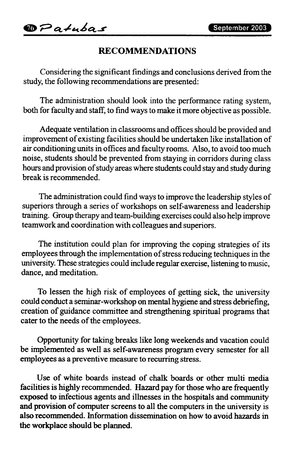### **RECOMMENDATIONS**

Considering the significant findings and conclusions derived fromthe study, the following recommendations are presented:

The administration should look into the performance rating system, both for faculty and staff, to find ways to make it more objective as possible.

Adequate ventilation in classrooms and offices should be provided and improvement of existing facilities should be undertaken like installation of air conditioning units in offices and faculty rooms. Also, to avoid too much noise, students should be prevented from staying in corridors during class hours and provision of study areas where students could stay and study during break is recommended.

The administration could find waysto improve the leadership styles of superiors through a series of workshops on self-awareness and leadership training. Group therapy and team-building exercises could also help improve teamwork and coordination with colleagues and superiors.

The institution could plan for improving the coping strategies of its employees through the implementation of stress reducing techniques in the university. These strategies could include regular exercise, listening to music, dance, and meditation.

To lessen the high risk of employees of getting sick, the university could conduct a seminar-workshop on mental hygiene and stress debriefing, creation of guidance committee and strengthening spiritual programs that cater to the needs of the employees.

Opportunity for taking breaks like long weekends and vacation could be implemented as well as self-awareness program every semester for all employees as a preventive measure to recurring stress.

Use of white boards instead of chalk boards or other multi media facilities is highly recommended. Hazard pay for those who are frequently exposed to infectious agents and illnesses in the hospitals and community and provision of computer screens to all the computers in the university is also recommended. Information dissemination on how to avoid hazards in the workplace should be planned.